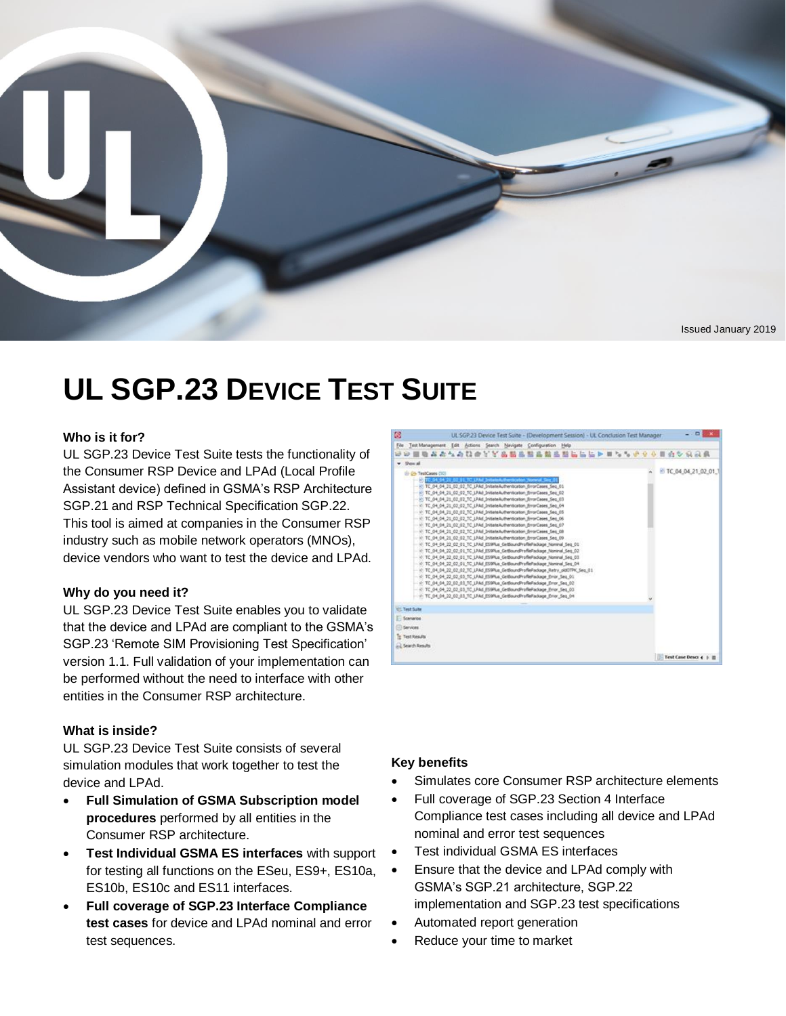

# **UL SGP.23 DEVICE TEST SUITE**

#### **Who is it for?**

UL SGP.23 Device Test Suite tests the functionality of the Consumer RSP Device and LPAd (Local Profile Assistant device) defined in GSMA's RSP Architecture SGP.21 and RSP Technical Specification SGP.22. This tool is aimed at companies in the Consumer RSP industry such as mobile network operators (MNOs), device vendors who want to test the device and LPAd.

#### **Why do you need it?**

UL SGP.23 Device Test Suite enables you to validate that the device and LPAd are compliant to the GSMA's SGP.23 'Remote SIM Provisioning Test Specification' version 1.1. Full validation of your implementation can be performed without the need to interface with other entities in the Consumer RSP architecture.

#### **What is inside?**

UL SGP.23 Device Test Suite consists of several simulation modules that work together to test the device and LPAd.

- **Full Simulation of GSMA Subscription model procedures** performed by all entities in the Consumer RSP architecture.
- **Test Individual GSMA ES interfaces** with support for testing all functions on the ESeu, ES9+, ES10a, ES10b, ES10c and ES11 interfaces.
- **Full coverage of SGP.23 Interface Compliance test cases** for device and LPAd nominal and error test sequences.



#### **Key benefits**

- Simulates core Consumer RSP architecture elements
- Full coverage of SGP.23 Section 4 Interface Compliance test cases including all device and LPAd nominal and error test sequences
- Test individual GSMA ES interfaces
- Ensure that the device and LPAd comply with GSMA's SGP.21 architecture, SGP.22 implementation and SGP.23 test specifications
- Automated report generation
- Reduce your time to market